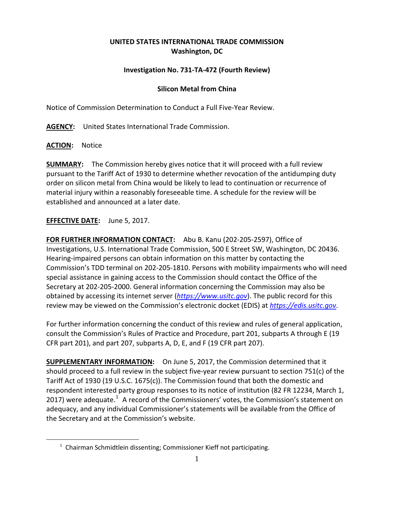## **UNITED STATES INTERNATIONAL TRADE COMMISSION Washington, DC**

## **Investigation No. 731-TA-472 (Fourth Review)**

## **Silicon Metal from China**

Notice of Commission Determination to Conduct a Full Five-Year Review.

**AGENCY:** United States International Trade Commission.

**ACTION:** Notice

<span id="page-0-0"></span> $\overline{a}$ 

**SUMMARY:** The Commission hereby gives notice that it will proceed with a full review pursuant to the Tariff Act of 1930 to determine whether revocation of the antidumping duty order on silicon metal from China would be likely to lead to continuation or recurrence of material injury within a reasonably foreseeable time. A schedule for the review will be established and announced at a later date.

## **EFFECTIVE DATE:** June 5, 2017.

**FOR FURTHER INFORMATION CONTACT:** Abu B. Kanu (202-205-2597), Office of Investigations, U.S. International Trade Commission, 500 E Street SW, Washington, DC 20436. Hearing-impaired persons can obtain information on this matter by contacting the Commission's TDD terminal on 202-205-1810. Persons with mobility impairments who will need special assistance in gaining access to the Commission should contact the Office of the Secretary at 202-205-2000. General information concerning the Commission may also be obtained by accessing its internet server (*[https://www.usitc.gov](https://www.usitc.gov/)*). The public record for this review may be viewed on the Commission's electronic docket (EDIS) at *[https://edis.usitc.gov](https://edis.usitc.gov/)*.

For further information concerning the conduct of this review and rules of general application, consult the Commission's Rules of Practice and Procedure, part 201, subparts A through E (19 CFR part 201), and part 207, subparts A, D, E, and F (19 CFR part 207).

**SUPPLEMENTARY INFORMATION:** On June 5, 2017, the Commission determined that it should proceed to a full review in the subject five-year review pursuant to section 751(c) of the Tariff Act of 1930 (19 U.S.C. 1675(c)). The Commission found that both the domestic and respondent interested party group responses to its notice of institution (82 FR 12234, March 1, 20[1](#page-0-0)7) were adequate.<sup>1</sup> A record of the Commissioners' votes, the Commission's statement on adequacy, and any individual Commissioner's statements will be available from the Office of the Secretary and at the Commission's website.

 $1$  Chairman Schmidtlein dissenting; Commissioner Kieff not participating.